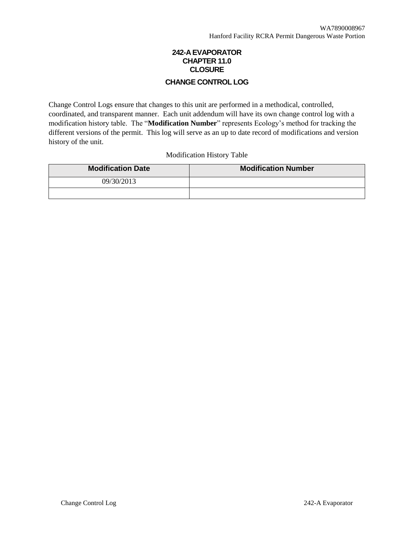# **242-A EVAPORATOR CHAPTER 11.0 CLOSURE**

## **CHANGE CONTROL LOG**

Change Control Logs ensure that changes to this unit are performed in a methodical, controlled, coordinated, and transparent manner. Each unit addendum will have its own change control log with a modification history table. The "**Modification Number**" represents Ecology's method for tracking the different versions of the permit. This log will serve as an up to date record of modifications and version history of the unit.

#### Modification History Table

| <b>Modification Date</b> | <b>Modification Number</b> |
|--------------------------|----------------------------|
| 09/30/2013               |                            |
|                          |                            |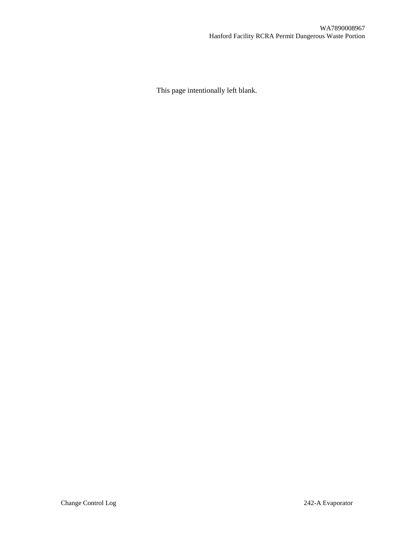This page intentionally left blank.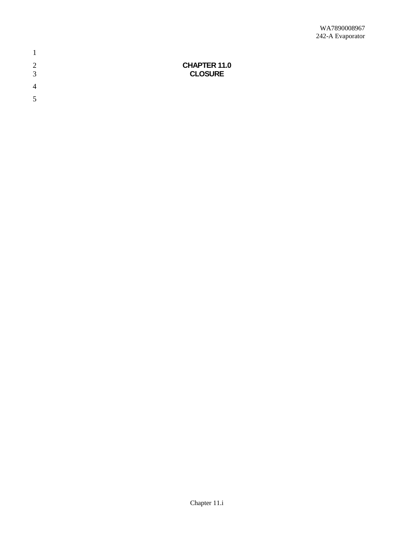# **CHAPTER 11.0 CLOSURE**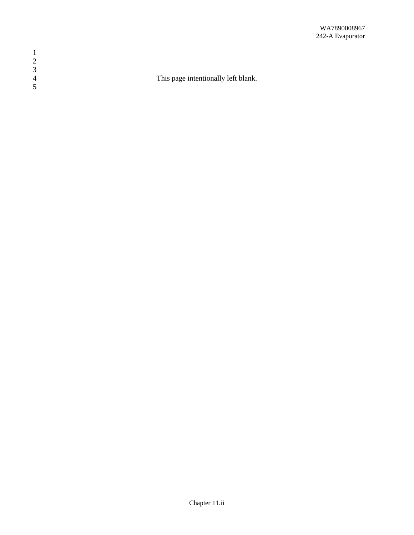This page intentionally left blank.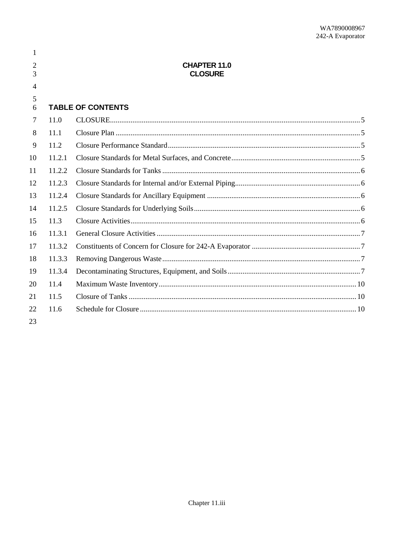| 1      |                          |                                       |  |
|--------|--------------------------|---------------------------------------|--|
| 2<br>3 |                          | <b>CHAPTER 11.0</b><br><b>CLOSURE</b> |  |
| 4      |                          |                                       |  |
| 5<br>6 | <b>TABLE OF CONTENTS</b> |                                       |  |
| 7      | 11.0                     |                                       |  |
| 8      | 11.1                     |                                       |  |
| 9      | 11.2                     |                                       |  |
| 10     | 11.2.1                   |                                       |  |
| 11     | 11.2.2                   |                                       |  |
| 12     | 11.2.3                   |                                       |  |
| 13     | 11.2.4                   |                                       |  |
| 14     | 11.2.5                   |                                       |  |
| 15     | 11.3                     |                                       |  |
| 16     | 11.3.1                   |                                       |  |
| 17     | 11.3.2                   |                                       |  |
| 18     | 11.3.3                   |                                       |  |
| 19     | 11.3.4                   |                                       |  |
| 20     | 11.4                     |                                       |  |
| 21     | 11.5                     |                                       |  |
| 22     | 11.6                     |                                       |  |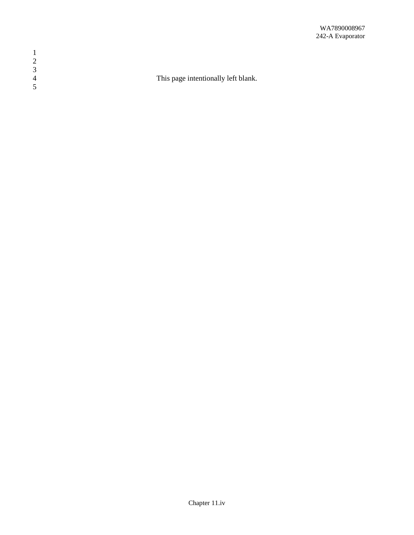This page intentionally left blank.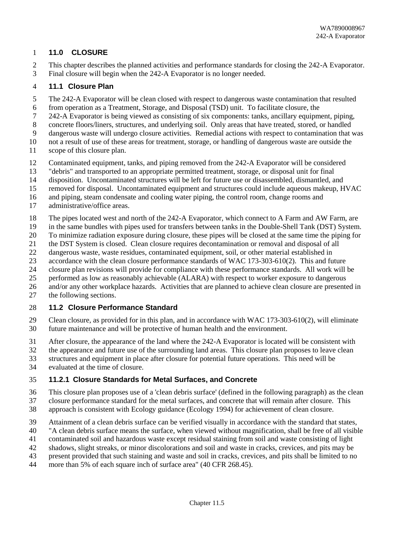## <span id="page-6-0"></span>**11.0 CLOSURE**

 This chapter describes the planned activities and performance standards for closing the 242-A Evaporator. Final closure will begin when the 242-A Evaporator is no longer needed.

## <span id="page-6-1"></span>**11.1 Closure Plan**

- The 242-A Evaporator will be clean closed with respect to dangerous waste contamination that resulted
- from operation as a Treatment, Storage, and Disposal (TSD) unit. To facilitate closure, the
- 242-A Evaporator is being viewed as consisting of six components: tanks, ancillary equipment, piping,
- concrete floors/liners, structures, and underlying soil. Only areas that have treated, stored, or handled
- dangerous waste will undergo closure activities. Remedial actions with respect to contamination that was
- not a result of use of these areas for treatment, storage, or handling of dangerous waste are outside the
- scope of this closure plan.
- Contaminated equipment, tanks, and piping removed from the 242-A Evaporator will be considered
- "debris" and transported to an appropriate permitted treatment, storage, or disposal unit for final
- disposition. Uncontaminated structures will be left for future use or disassembled, dismantled, and
- removed for disposal. Uncontaminated equipment and structures could include aqueous makeup, HVAC
- and piping, steam condensate and cooling water piping, the control room, change rooms and
- administrative/office areas.
- The pipes located west and north of the 242-A Evaporator, which connect to A Farm and AW Farm, are
- in the same bundles with pipes used for transfers between tanks in the Double-Shell Tank (DST) System.
- To minimize radiation exposure during closure, these pipes will be closed at the same time the piping for
- the DST System is closed. Clean closure requires decontamination or removal and disposal of all
- dangerous waste, waste residues, contaminated equipment, soil, or other material established in
- accordance with the clean closure performance standards of WAC 173-303-610(2). This and future
- closure plan revisions will provide for compliance with these performance standards. All work will be
- performed as low as reasonably achievable (ALARA) with respect to worker exposure to dangerous
- 26 and/or any other workplace hazards. Activities that are planned to achieve clean closure are presented in
- the following sections.

#### <span id="page-6-2"></span>**11.2 Closure Performance Standard**

- Clean closure, as provided for in this plan, and in accordance with WAC 173-303-610(2), will eliminate
- future maintenance and will be protective of human health and the environment.
- After closure, the appearance of the land where the 242-A Evaporator is located will be consistent with
- the appearance and future use of the surrounding land areas. This closure plan proposes to leave clean
- structures and equipment in place after closure for potential future operations. This need will be
- evaluated at the time of closure.

#### <span id="page-6-3"></span>**11.2.1 Closure Standards for Metal Surfaces, and Concrete**

- This closure plan proposes use of a 'clean debris surface' (defined in the following paragraph) as the clean
- closure performance standard for the metal surfaces, and concrete that will remain after closure. This
- approach is consistent with Ecology guidance (Ecology 1994) for achievement of clean closure.
- Attainment of a clean debris surface can be verified visually in accordance with the standard that states,
- "A clean debris surface means the surface, when viewed without magnification, shall be free of all visible
- contaminated soil and hazardous waste except residual staining from soil and waste consisting of light
- shadows, slight streaks, or minor discolorations and soil and waste in cracks, crevices, and pits may be
- present provided that such staining and waste and soil in cracks, crevices, and pits shall be limited to no
- more than 5% of each square inch of surface area" (40 CFR 268.45).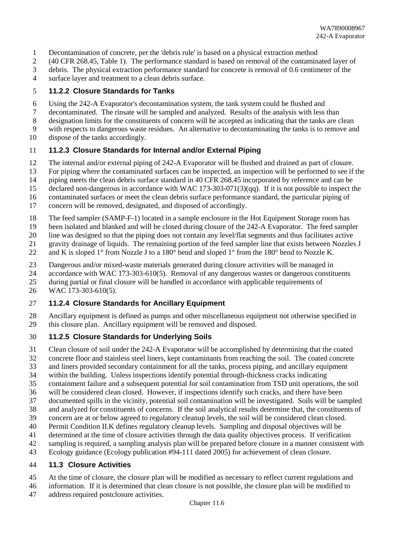- Decontamination of concrete, per the 'debris rule' is based on a physical extraction method
- (40 CFR 268.45, Table 1). The performance standard is based on removal of the contaminated layer of
- debris. The physical extraction performance standard for concrete is removal of 0.6 centimeter of the
- surface layer and treatment to a clean debris surface.

## <span id="page-7-0"></span>**11.2.2 Closure Standards for Tanks**

- Using the 242-A Evaporator's decontamination system, the tank system could be flushed and
- decontaminated. The rinsate will be sampled and analyzed. Results of the analysis with less than
- designation limits for the constituents of concern will be accepted as indicating that the tanks are clean
- with respects to dangerous waste residues. An alternative to decontaminating the tanks is to remove and
- dispose of the tanks accordingly.

## <span id="page-7-1"></span>**11.2.3 Closure Standards for Internal and/or External Piping**

- The internal and/or external piping of 242-A Evaporator will be flushed and drained as part of closure.
- For piping where the contaminated surfaces can be inspected, an inspection will be performed to see if the
- piping meets the clean debris surface standard in 40 CFR 268.45 incorporated by reference and can be
- declared non-dangerous in accordance with WAC 173-303-071(3)(qq). If it is not possible to inspect the
- contaminated surfaces or meet the clean debris surface performance standard, the particular piping of
- concern will be removed, designated, and disposed of accordingly.
- The feed sampler (SAMP-F-1) located in a sample enclosure in the Hot Equipment Storage room has
- been isolated and blanked and will be closed during closure of the 242-A Evaporator. The feed sampler
- line was designed so that the piping does not contain any level/flat segments and thus facilitates active
- gravity drainage of liquids. The remaining portion of the feed sampler line that exists between Nozzles J
- 22 and K is sloped 1° from Nozzle J to a 180° bend and sloped 1° from the 180° bend to Nozzle K.
- Dangerous and/or mixed-waste materials generated during closure activities will be managed in
- accordance with WAC 173-303-610(5). Removal of any dangerous wastes or dangerous constituents
- during partial or final closure will be handled in accordance with applicable requirements of
- WAC 173-303-610(5).

## <span id="page-7-2"></span>**11.2.4 Closure Standards for Ancillary Equipment**

- Ancillary equipment is defined as pumps and other miscellaneous equipment not otherwise specified in
- this closure plan. Ancillary equipment will be removed and disposed.

# <span id="page-7-3"></span>**11.2.5 Closure Standards for Underlying Soils**

- Clean closure of soil under the 242-A Evaporator will be accomplished by determining that the coated
- concrete floor and stainless steel liners, kept contaminants from reaching the soil. The coated concrete
- and liners provided secondary containment for all the tanks, process piping, and ancillary equipment
- within the building. Unless inspections identify potential through-thickness cracks indicating
- containment failure and a subsequent potential for soil contamination from TSD unit operations, the soil
- will be considered clean closed. However, if inspections identify such cracks, and there have been
- documented spills in the vicinity, potential soil contamination will be investigated. Soils will be sampled
- and analyzed for constituents of concerns. If the soil analytical results determine that, the constituents of
- concern are at or below agreed to regulatory cleanup levels, the soil will be considered clean closed.
- Permit Condition II.K defines regulatory cleanup levels. Sampling and disposal objectives will be
- determined at the time of closure activities through the data quality objectives process. If verification
- sampling is required, a sampling analysis plan will be prepared before closure in a manner consistent with
- Ecology guidance (Ecology publication #94-111 dated 2005) for achievement of clean closure.

## <span id="page-7-4"></span>**11.3 Closure Activities**

- At the time of closure, the closure plan will be modified as necessary to reflect current regulations and
- information. If it is determined that clean closure is not possible, the closure plan will be modified to
- address required postclosure activities.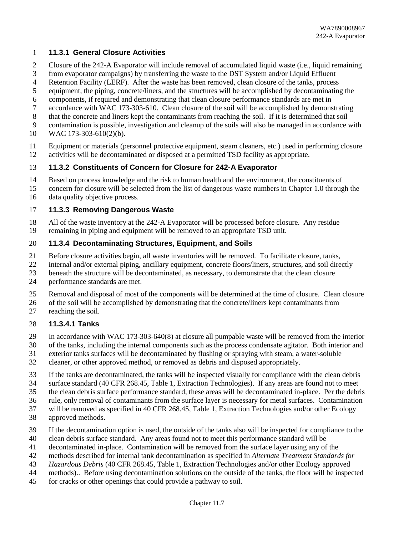#### <span id="page-8-0"></span>**11.3.1 General Closure Activities**

- Closure of the 242-A Evaporator will include removal of accumulated liquid waste (i.e., liquid remaining
- from evaporator campaigns) by transferring the waste to the DST System and/or Liquid Effluent
- Retention Facility (LERF). After the waste has been removed, clean closure of the tanks, process
- equipment, the piping, concrete/liners, and the structures will be accomplished by decontaminating the
- components, if required and demonstrating that clean closure performance standards are met in
- accordance with WAC 173-303-610. Clean closure of the soil will be accomplished by demonstrating
- that the concrete and liners kept the contaminants from reaching the soil. If it is determined that soil
- contamination is possible, investigation and cleanup of the soils will also be managed in accordance with
- WAC 173-303-610(2)(b).
- Equipment or materials (personnel protective equipment, steam cleaners, etc.) used in performing closure activities will be decontaminated or disposed at a permitted TSD facility as appropriate.

## <span id="page-8-1"></span>**11.3.2 Constituents of Concern for Closure for 242-A Evaporator**

- Based on process knowledge and the risk to human health and the environment, the constituents of
- concern for closure will be selected from the list of dangerous waste numbers in Chapter 1.0 through the data quality objective process.

#### <span id="page-8-2"></span>**11.3.3 Removing Dangerous Waste**

 All of the waste inventory at the 242-A Evaporator will be processed before closure. Any residue remaining in piping and equipment will be removed to an appropriate TSD unit.

#### <span id="page-8-3"></span>**11.3.4 Decontaminating Structures, Equipment, and Soils**

- Before closure activities begin, all waste inventories will be removed. To facilitate closure, tanks,
- internal and/or external piping, ancillary equipment, concrete floors/liners, structures, and soil directly
- beneath the structure will be decontaminated, as necessary, to demonstrate that the clean closure
- performance standards are met.
- Removal and disposal of most of the components will be determined at the time of closure. Clean closure
- of the soil will be accomplished by demonstrating that the concrete/liners kept contaminants from
- reaching the soil.

## **11.3.4.1 Tanks**

- In accordance with WAC 173-303-640(8) at closure all pumpable waste will be removed from the interior
- of the tanks, including the internal components such as the process condensate agitator. Both interior and
- exterior tanks surfaces will be decontaminated by flushing or spraying with steam, a water-soluble
- cleaner, or other approved method, or removed as debris and disposed appropriately.
- If the tanks are decontaminated, the tanks will be inspected visually for compliance with the clean debris
- surface standard (40 CFR 268.45, Table 1, Extraction Technologies). If any areas are found not to meet
- the clean debris surface performance standard, these areas will be decontaminated in-place. Per the debris
- rule, only removal of contaminants from the surface layer is necessary for metal surfaces. Contamination
- will be removed as specified in 40 CFR 268.45, Table 1, Extraction Technologies and/or other Ecology
- approved methods.
- If the decontamination option is used, the outside of the tanks also will be inspected for compliance to the
- clean debris surface standard. Any areas found not to meet this performance standard will be
- decontaminated in-place. Contamination will be removed from the surface layer using any of the
- methods described for internal tank decontamination as specified in *Alternate Treatment Standards for*
- *Hazardous Debris* (40 CFR 268.45, Table 1, Extraction Technologies and/or other Ecology approved
- methods).. Before using decontamination solutions on the outside of the tanks, the floor will be inspected
- for cracks or other openings that could provide a pathway to soil.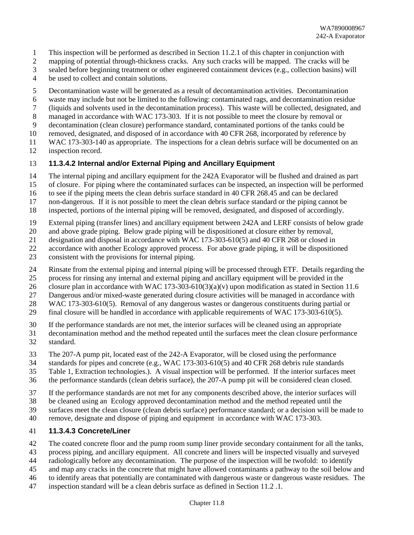- This inspection will be performed as described in Section 11.2.1 of this chapter in conjunction with
- mapping of potential through-thickness cracks. Any such cracks will be mapped. The cracks will be
- sealed before beginning treatment or other engineered containment devices (e.g., collection basins) will
- be used to collect and contain solutions.
- Decontamination waste will be generated as a result of decontamination activities. Decontamination
- waste may include but not be limited to the following: contaminated rags, and decontamination residue
- (liquids and solvents used in the decontamination process). This waste will be collected, designated, and
- 8 managed in accordance with WAC 173-303. If it is not possible to meet the closure by removal or
- decontamination (clean closure) performance standard, contaminated portions of the tanks could be
- removed, designated, and disposed of in accordance with 40 CFR 268, incorporated by reference by
- WAC 173-303-140 as appropriate. The inspections for a clean debris surface will be documented on an
- inspection record.

## **11.3.4.2 Internal and/or External Piping and Ancillary Equipment**

- The internal piping and ancillary equipment for the 242A Evaporator will be flushed and drained as part
- of closure. For piping where the contaminated surfaces can be inspected, an inspection will be performed
- to see if the piping meets the clean debris surface standard in 40 CFR 268.45 and can be declared
- non-dangerous. If it is not possible to meet the clean debris surface standard or the piping cannot be
- inspected, portions of the internal piping will be removed, designated, and disposed of accordingly.
- External piping (transfer lines) and ancillary equipment between 242A and LERF consists of below grade
- and above grade piping. Below grade piping will be dispositioned at closure either by removal,
- designation and disposal in accordance with WAC 173-303-610(5) and 40 CFR 268 or closed in
- accordance with another Ecology approved process. For above grade piping, it will be dispositioned
- consistent with the provisions for internal piping.
- Rinsate from the external piping and internal piping will be processed through ETF. Details regarding the
- process for rinsing any internal and external piping and ancillary equipment will be provided in the
- closure plan in accordance with WAC 173-303-610(3)(a)(v) upon modification as stated in Section 11.6
- Dangerous and/or mixed-waste generated during closure activities will be managed in accordance with
- WAC 173-303-610(5). Removal of any dangerous wastes or dangerous constituents during partial or
- final closure will be handled in accordance with applicable requirements of WAC 173-303-610(5).
- If the performance standards are not met, the interior surfaces will be cleaned using an appropriate
- decontamination method and the method repeated until the surfaces meet the clean closure performance standard.
- The 207-A pump pit, located east of the 242-A Evaporator, will be closed using the performance
- standards for pipes and concrete (e.g., WAC 173-303-610(5) and 40 CFR 268 debris rule standards
- Table 1, Extraction technologies.). A visual inspection will be performed. If the interior surfaces meet
- the performance standards (clean debris surface), the 207-A pump pit will be considered clean closed.
- If the performance standards are not met for any components described above, the interior surfaces will
- be cleaned using an Ecology approved decontamination method and the method repeated until the
- surfaces meet the clean closure (clean debris surface) performance standard; or a decision will be made to
- remove, designate and dispose of piping and equipment in accordance with WAC 173-303.

## **11.3.4.3 Concrete/Liner**

- The coated concrete floor and the pump room sump liner provide secondary containment for all the tanks,
- process piping, and ancillary equipment. All concrete and liners will be inspected visually and surveyed
- radiologically before any decontamination. The purpose of the inspection will be twofold: to identify
- and map any cracks in the concrete that might have allowed contaminants a pathway to the soil below and
- to identify areas that potentially are contaminated with dangerous waste or dangerous waste residues. The
- inspection standard will be a clean debris surface as defined in Section 11.2 .1.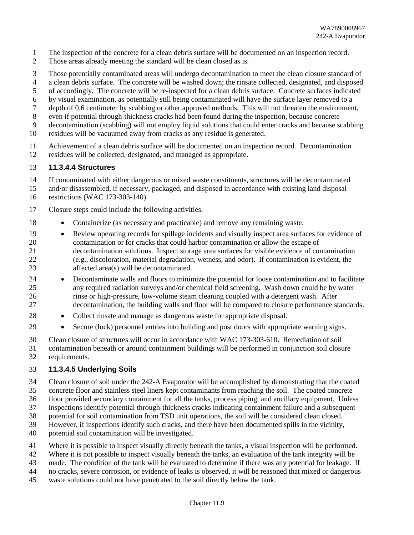- The inspection of the concrete for a clean debris surface will be documented on an inspection record.
- Those areas already meeting the standard will be clean closed as is.
- Those potentially contaminated areas will undergo decontamination to meet the clean closure standard of
- a clean debris surface. The concrete will be washed down; the rinsate collected, designated, and disposed
- of accordingly. The concrete will be re-inspected for a clean debris surface. Concrete surfaces indicated
- by visual examination, as potentially still being contaminated will have the surface layer removed to a
- depth of 0.6 centimeter by scabbing or other approved methods. This will not threaten the environment,
- even if potential through-thickness cracks had been found during the inspection, because concrete
- decontamination (scabbing) will not employ liquid solutions that could enter cracks and because scabbing
- residues will be vacuumed away from cracks as any residue is generated.
- Achievement of a clean debris surface will be documented on an inspection record. Decontamination residues will be collected, designated, and managed as appropriate.

#### **11.3.4.4 Structures**

- If contaminated with either dangerous or mixed waste constituents, structures will be decontaminated
- and/or disassembled, if necessary, packaged, and disposed in accordance with existing land disposal restrictions (WAC 173-303-140).
- Closure steps could include the following activities.
- Containerize (as necessary and practicable) and remove any remaining waste.
- Review operating records for spillage incidents and visually inspect area surfaces for evidence of contamination or for cracks that could harbor contamination or allow the escape of decontamination solutions. Inspect storage area surfaces for visible evidence of contamination (e.g., discoloration, material degradation, wetness, and odor). If contamination is evident, the affected area(s) will be decontaminated.
- **Decontaminate walls and floors to minimize the potential for loose contamination and to facilitate**  any required radiation surveys and/or chemical field screening. Wash down could be by water rinse or high-pressure, low-volume steam cleaning coupled with a detergent wash. After decontamination, the building walls and floor will be compared to closure performance standards.
- 28 Collect rinsate and manage as dangerous waste for appropriate disposal.
- 29 Secure (lock) personnel entries into building and post doors with appropriate warning signs.
- Clean closure of structures will occur in accordance with WAC 173-303-610. Remediation of soil contamination beneath or around containment buildings will be performed in conjunction soil closure
- requirements.

# **11.3.4.5 Underlying Soils**

- Clean closure of soil under the 242-A Evaporator will be accomplished by demonstrating that the coated concrete floor and stainless steel liners kept contaminants from reaching the soil. The coated concrete
- floor provided secondary containment for all the tanks, process piping, and ancillary equipment. Unless
- inspections identify potential through-thickness cracks indicating containment failure and a subsequent
- potential for soil contamination from TSD unit operations, the soil will be considered clean closed.
- However, if inspections identify such cracks, and there have been documented spills in the vicinity,
- potential soil contamination will be investigated.
- Where it is possible to inspect visually directly beneath the tanks, a visual inspection will be performed.
- Where it is not possible to inspect visually beneath the tanks, an evaluation of the tank integrity will be
- made. The condition of the tank will be evaluated to determine if there was any potential for leakage. If
- no cracks, severe corrosion, or evidence of leaks is observed, it will be reasoned that mixed or dangerous
- waste solutions could not have penetrated to the soil directly below the tank.